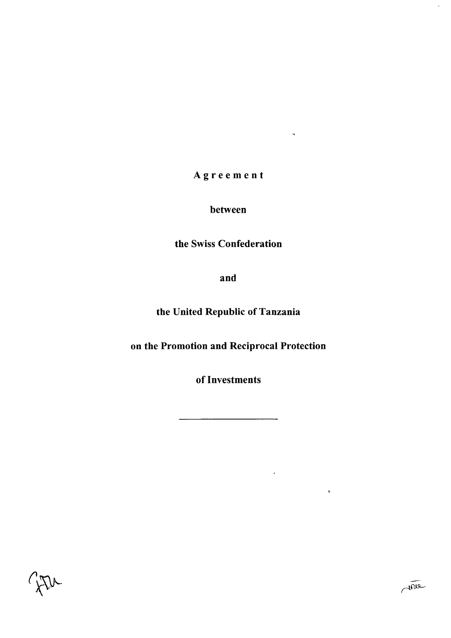Agreemen t

 $\mathcal{A}$ 

 $\mathbb{Z}^2$ 

between

the Swiss Confederation

and

thé United Republic of Tanzania

on thé Promotion and Reciprocal Protection

of Investments

 $\mathcal{L}$ 

 $\langle \rangle_{\mathbf{t}}$ 

 $A$ 

GIDA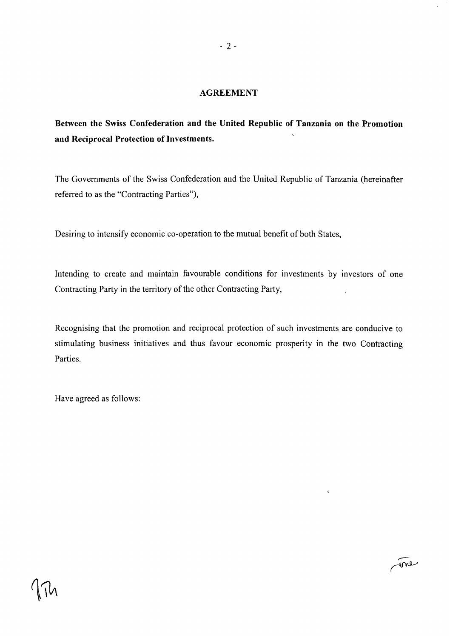# AGREEMENT

Between the Swiss Confederation and the United Republic of Tanzania on the Promotion and Reciprocal Protection of Investments.

The Governments of the Swiss Confederation and the United Republic of Tanzania (hereinafter referred to as the "Contracting Parties"),

Desiring to intensify economic co-operation to the mutual benefit of both States,

Intending to create and maintain favourable conditions for investments by investors of one Contracting Party in thé territory of thé other Contracting Party,

Recognising that thé promotion and reciprocal protection of such investments are conducive to stimulating business initiatives and thus favour economic prosperity in the two Contracting Parties.

 $\pmb{\iota}$ 

 $\sqrt{m}$ 

Have agreed as follows: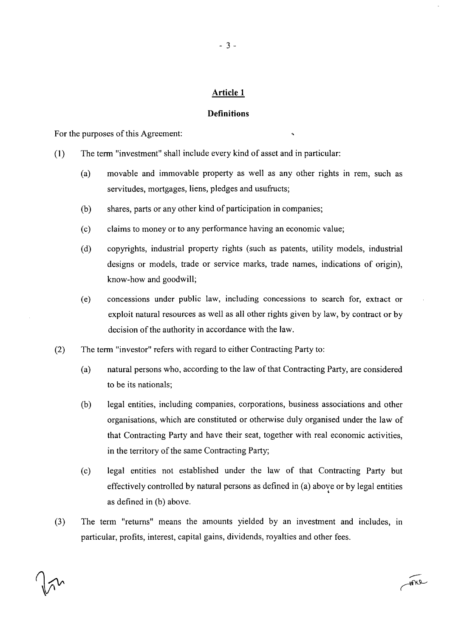- 3 -

#### **Definitions**

For the purposes of this Agreement:

- (1) The term "Investment" shall include every kind of asset and in particular:
	- (a) movable and immovable property as well as any other rights in rem, such as servitudes, mortgages, liens, pledges and usufructs;
	- (b) shares, parts or any other kind of participation in companies;
	- (c) claims to money or to any performance having an économie value;
	- (d) copyrights, industrial property rights (such as patents, utility models, industrial designs or models, trade or service marks, trade names, indications of origin), know-how and goodwill;
	- (e) concessions under public law, including concessions to search for, extiact or exploit natural resources as well as ail other rights given by law, by contract or by decision of the authority in accordance with the law.
- (2) The term "investor" refers with regard to either Contracting Party to:
	- (a) natural persons who, according to the law of that Contracting Party, are considered to be its nationals;
	- (b) légal entities, including companies, corporations, business associations and other organisations, which are constituted or otherwise duly organised under thé law of that Contracting Party and have their seat, together with real economic activities, in the territory of the same Contracting Party;
	- (c) légal entities not established under thé law of that Contracting Party but effectively controlled by natural persons as defined in (a) above or by légal entities as defined in (b) above.

 $\sqrt{m}$ 

(3) The term "returns" means thé amounts yielded by an investment and includes, in particular, profits, interest, capital gains, dividends, royalties and other fées.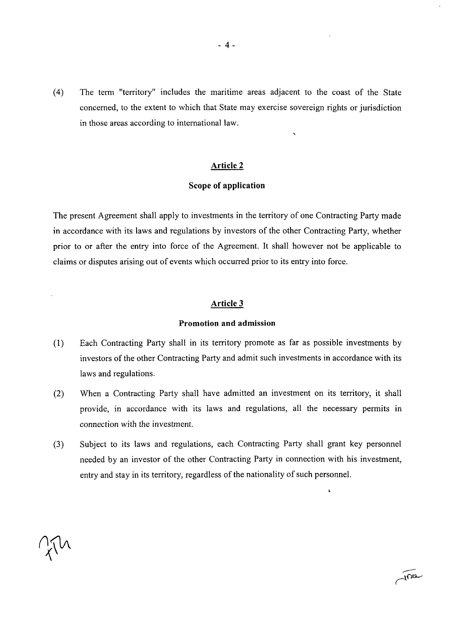(4) The term "territory" includes thé maritime areas adjacent to thé coast of thé State concerned, to thé extent to which that State may exercise sovereign rights or jurisdiction in those areas according to international law.

#### Article 2

# Scope of application

The present Agreement shall apply to investments in the territory of one Contracting Party made in accordance with its laws and regulations by investors of the other Contracting Party, whether prior to or after thé entry into force of thé Agreement. It shall however not be applicable to claims or disputes arising out of events which occurred prior to its entry into force.

# Article 3

#### Promotion and admission

- (1) Each Contracting Party shall in its territory promote as far as possible investments by investors of the other Contracting Party and admit such investments in accordance with its laws and regulations.
- (2) When a Contracting Party shall hâve admitted an investment on its territory, it shall provide, in accordance with its laws and régulations, ail thé necessary permits in connection with thé investment.
- (3) Subject to its laws and régulations, each Contracting Party shall grant key personnel needed by an investor of the other Contracting Party in connection with his investment, entry and stay in its territory, regardless of thé nationality of such personnel.

 $\ddot{\phantom{0}}$ 

 $\sqrt{100}$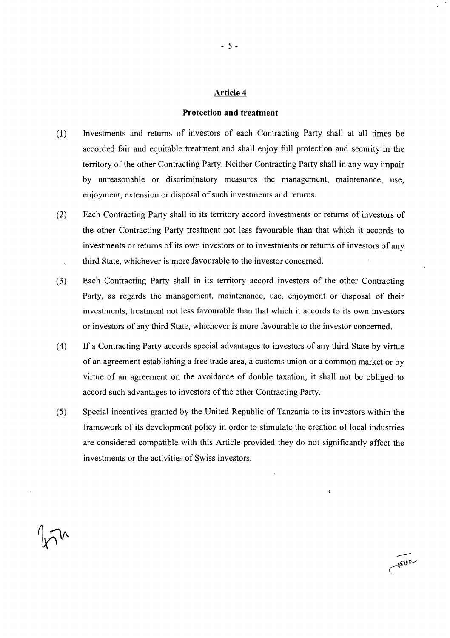# Protection and treatment

- (1) Investments and returns of Investors of each Contracting Party shall at all times be accorded fair and équitable treatment and shall enjoy füll protection and security in thé territory of thé other Contracting Party. Neither Contracting Party shall in any way impair by unreasonable or discriminatory measures the management, maintenance, use, enjoyment, extension or disposal of such investments and returns.
- (2) Each Contracting Party shall in its territory accord investments or returns of investors of thé other Contracting Party treatment not less favourable than that which it accords to investments or returns of its own investors or to investments or returns of investors of any third State, whichever is more favourable to the investor concerned.
- (3) Each Contracting Party shall in its territory accord investors of thé other Contracting Party, as regards thé management, maintenance, use, enjoyment or disposai of their investments, treatment not less favourable than that which it accords to its own investors or investors of any third State, whichever is more favourable to thé Investor concerned.
- (4) If a Contracting Party accords special advantages to investors of any third State by virtue of an agreement establishing a free trade area, a customs union or a common market or by virtue of an agreement on thé avoidance of double taxation, it shall not be obliged to accord such advantages to investors of thé other Contracting Party.
- (5) Special incentives granted by the United Republic of Tanzania to its investors within the framework of its development policy in order to stimulate the creation of local industries are considered compatible with this Article provided they do not significantly affect thé investments or the activities of Swiss investors.

Aree

- 5 -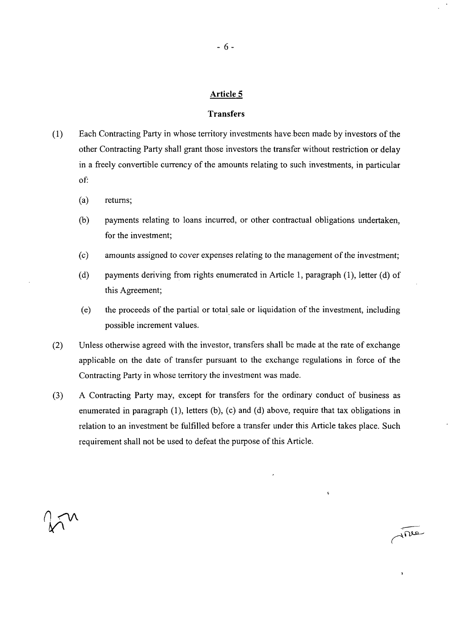#### Transfers

- (1) Each Contracting Party in whose territory investments have been made by investors of the other Contracting Party shall grant those investors thé transfer without restriction or delay in a freely convertible currency of thé amounts relating to such investments, in particular of:
	- (a) returns;
	- (b) payments relating to loans incurred, or other contractual obligations undertaken, for the investment;
	- (c) amounts assigned to cover expenses relating to thé management of thé investment;
	- (d) payments deriving from rights enumerated in Article 1, paragraph (1), letter (d) of this Agreement;
	- (e) thé proceeds of thé partial or total sale or liquidation of thé investment, including possible increment values.
- (2) Unless otherwise agreed with the investor, transfers shall be made at the rate of exchange applicable on the date of transfer pursuant to the exchange regulations in force of the Contracting Party in whose territory thé investment was made.
- (3) A Contracting Party may, except for transfers for thé ordinary conduct of business as enumerated in paragraph (1), letters (b), (c) and (d) above, require that tax obligations in relation to an investment be fulfilled before a transfer under this Article takes place. Such requirement shall not be used to defeat the purpose of this Article.

 $\sqrt{n}$ 

 $\ddot{\phantom{a}}$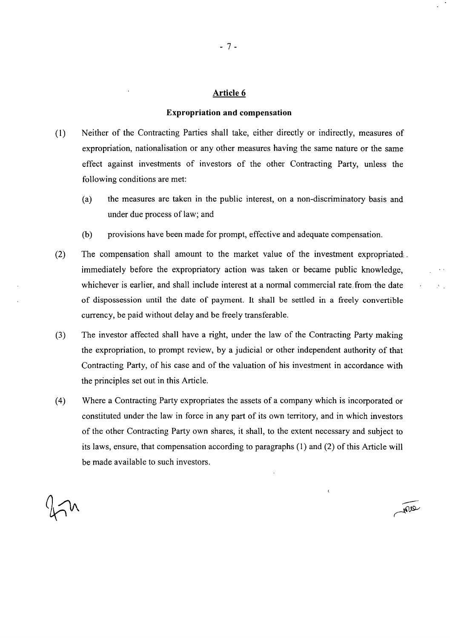#### Expropriation and compensation

- (1) Neither of thé Contracting Parties shall take, either directly or indirectly, measures of expropriation, nationalisation or any other measures having the same nature or the same effect against investments of investors of the other Contracting Party, unless the following conditions are met:
	- (a) thé measures are taken in thé public interest, on a non-discriminatory basis and under due process of law; and
	- (b) provisions hâve been made for prompt, effective and adéquate compensation.
- (2) The compensation shall amount to the market value of the investment expropriated, immediately before thé expropriatory action was taken or became public knowledge, whichever is earlier, and shall include interest at a normal commercial rate from the date of dispossession until thé date of payment. It shall be settled in a freely convertible currency, be paid without delay and be freely transférable.
- (3) The investor affected shall have a right, under the law of the Contracting Party making the expropriation, to prompt review, by a judicial or other independent authority of that Contracting Party, of his case and of thé valuation of his investment in accordance with the principles set out in this Article.
- (4) Where a Contracting Party expropriâtes thé assets of a Company which is incorporated or constituted under the law in force in any part of its own territory, and in which investors of thé other Contracting Party own shares, it shall, to thé extent necessary and subject to its laws, ensure, that compensation according to paragraphs (1) and (2) of this Article will be made available to such investors.

True

 $\sqrt{3}$ 

 $\mathcal{N}_{\rm{max}}$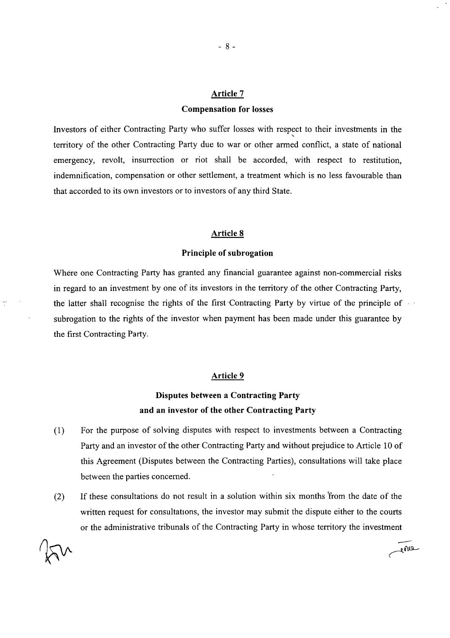# Compensation for losses

Investors of either Contracting Party who suffer losses with respect to their investments in the territory of thé other Contracting Party due to war or other armed conflict, a state of national emergency, revolt, insurrection or riot shall be accorded, with respect to restitution, indemnification, compensation or other settlement, a treatment which is no less favourable than that accorded to its own investors or to investors of any third State.

#### Article 8

### Principle of subrogation

Whére one Contracting Party has granted any fmancial guarantee against non-commercial risks in regard to an investment by one of its investors in the territory of the other Contracting Party, the latter shall recognise the rights of the first Contracting Party by virtue of the principle of subrogation to the rights of the investor when payment has been made under this guarantee by thé first Contracting Party.

## Article 9

# Disputes berween a Contracting Party and an investor of the other Contracting Party

- (1) For thé purpose of solving disputes with respect to investments between a Contracting Party and an investor of the other Contracting Party and without prejudice to Article 10 of this Agreement (Disputes between thé Contracting Parties), consultations will take place between the parties concerned.
- (2) If these consultations do not result in a solution within six months 'from the date of the written request for consultations, the investor may submit the dispute either to the courts or the administrative tribunals of the Contracting Party in whose territory the investment

 $\frac{1}{2}$ 

Free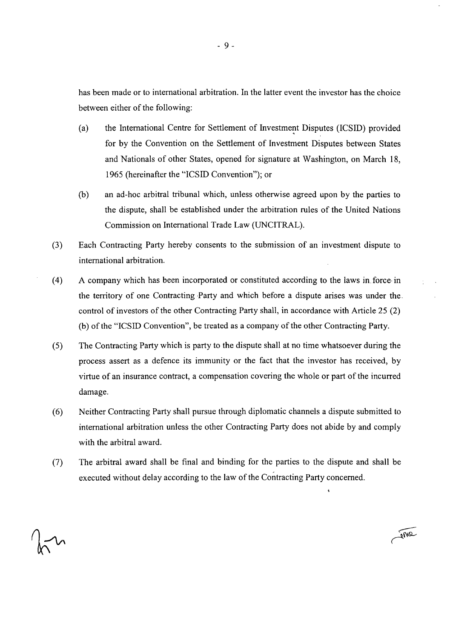has been made or to international arbitration. In the latter event the investor has the choice between either of the following:

- (a) the International Centre for Settlement of Investment Disputes (ICSID) provided for by the Convention on the Settlement of Investment Disputes between States and Nationals of other States, opened for signature at Washington, on March 18, 1965 (hereinafter the "ICSID Convention"); or
- (b) an ad-hoc arbitral tribunal which, unless otherwise agreed upon by the parties to the dispute, shall be established under the arbitration rules of the United Nations Commission on International Trade Law (UNCITRAL).
- (3) Each Contracting Party hereby consents to the submission of an investment dispute to international arbitration.
- (4) A Company which has been incorporated or constituted according to the laws in. force in the territory of one Contracting Party and which before a dispute arises was under the. control of investors of the other Contracting Party shall, in accordance with Article 25 (2) (b) of the "ICSID Convention", be treated as a Company of the other Contracting Party.
- (5) The Contracting Party which is party to the dispute shall at no time whatsoever during the process assert as a defence its immunity or the fact that the investor has received, by virtue of an insurance contract, a compensation covering the whole or part of the incurred damage.
- (6) Neither Contracting Party shall pursue through diplomatie channels a dispute submitted to international arbitration unless the other Contracting Party does not abide by and comply with the arbitral award.
- (7) The arbitral award shall be final and binding for the parties to the dispute and shall be executed without delay according to the law of the Contracting Party concerned.

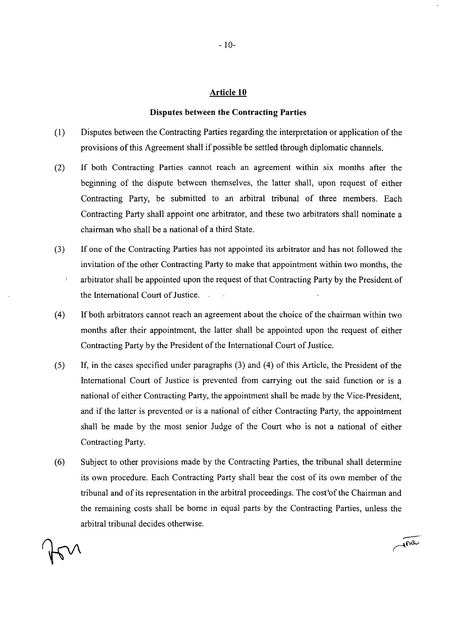# Disputes between thé Contracting Parties

- (1) Disputes between thé Contracting Parties regarding thé interprétation or application of thé provisions of this Agreement shall if possible be settled through diplomatie channels.
- (2) If both Contracting Parties cannot reach an agreement within six months after thé beginning of thé dispute between themselves, thé latter shall, upon request of either Contracting Party, be submitted to an arbitral tribunal of three members. Each Contracting Party shall appoint one arbitrator, and these two arbitrators shall nominate a chairman who shall be a national of a third State.
- (3) If one of thé Contracting Parties has not appointed its arbitrator and has not followed thé invitation of the other Contracting Party to make that appointment within two months, the ; arbitrator shall be appointed upon the request of that Contracting Party by the President of the International Court of Justice.
- (4) If both arbitrators cannot reach an agreement about thé choice of thé chairman within two months after their appointment, the latter shall be appointed upon the request of either Contracting Party by the President of the International Court of Justice.
- $(5)$  If, in the cases specified under paragraphs  $(3)$  and  $(4)$  of this Article, the President of the International Court of Justice is prevented from carrying out thé said function or is a national of either Contracting Party, the appointment shall be made by the Vice-President, and if the latter is prevented or is a national of either Contracting Party, the appointment shall be made by thé most senior Judge of thé Court who is not a national of either Contracting Party.
- (6) Subject to other provisions made by thé Contracting Parties, thé tribunal shall détermine its own procedure. Each Contracting Party shall bear the cost of its own member of the tribunal and of its representation in the arbitral proceedings. The cost of the Chairman and thé remaining costs shall be borne in equal parts by thé Contracting Parties, unless thé arbitral tribunal decides otherwise.

True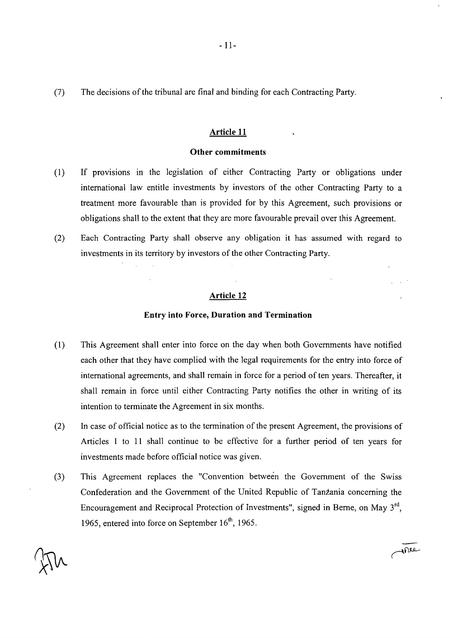(7) The décisions of thé tribunal are final and binding for each Contracting Party.

## Article 11

# Other commitments

- (1) If provisions in thé législation of either Contracting Party or obligations under international law entitle investments by investors of the other Contracting Party to a treatment more favourable than is provided for by this Agreement, such provisions or obligations shall to thé extent that they are more favourable prevail over this Agreement.
- (2) Each Contracting Party shall observe any obligation it has assumed with regard to investments in its territory by investors of the other Contracting Party.

# Article 12

#### Entry into Force, Duration and Termination

- (1) This Agreement shall enter into force on thé day when both Governments hâve notified each other that they have complied with the legal requirements for the entry into force of international agreements, and shall remain in force for a period of ten years. Thereafter, it shall remain in force until either Contracting Party notifies thé other in writing of its intention to terminate the Agreement in six months.
- (2) In case of official notice as to the termination of the present Agreement, the provisions of Articles 1 to 11 shall continue to be effective for a further period of ten years for investments made before official notice was given.
- (3) This Agreement replaces thé "Convention berween thé Government of thé Swiss Confederation and the Government of the United Republic of Tanzania concerning the Encouragement and Reciprocal Protection of Investments", signed in Berne, on May 3<sup>rd</sup>, 1965, entered into force on September  $16<sup>th</sup>$ , 1965.

 $\overline{u}$